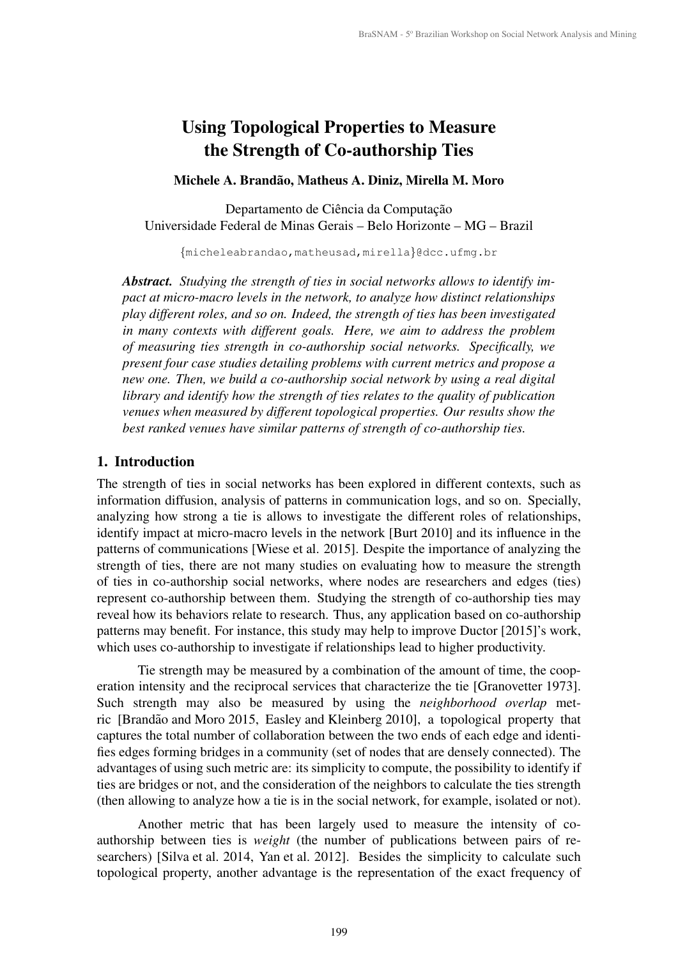# Using Topological Properties to Measure the Strength of Co-authorship Ties

# Michele A. Brandão, Matheus A. Diniz, Mirella M. Moro

Departamento de Ciência da Computação Universidade Federal de Minas Gerais – Belo Horizonte – MG – Brazil

{micheleabrandao,matheusad,mirella}@dcc.ufmg.br

*Abstract. Studying the strength of ties in social networks allows to identify impact at micro-macro levels in the network, to analyze how distinct relationships play different roles, and so on. Indeed, the strength of ties has been investigated in many contexts with different goals. Here, we aim to address the problem of measuring ties strength in co-authorship social networks. Specifically, we present four case studies detailing problems with current metrics and propose a new one. Then, we build a co-authorship social network by using a real digital library and identify how the strength of ties relates to the quality of publication venues when measured by different topological properties. Our results show the best ranked venues have similar patterns of strength of co-authorship ties.*

## 1. Introduction

The strength of ties in social networks has been explored in different contexts, such as information diffusion, analysis of patterns in communication logs, and so on. Specially, analyzing how strong a tie is allows to investigate the different roles of relationships, identify impact at micro-macro levels in the network [Burt 2010] and its influence in the patterns of communications [Wiese et al. 2015]. Despite the importance of analyzing the strength of ties, there are not many studies on evaluating how to measure the strength of ties in co-authorship social networks, where nodes are researchers and edges (ties) represent co-authorship between them. Studying the strength of co-authorship ties may reveal how its behaviors relate to research. Thus, any application based on co-authorship patterns may benefit. For instance, this study may help to improve Ductor [2015]'s work, which uses co-authorship to investigate if relationships lead to higher productivity.

Tie strength may be measured by a combination of the amount of time, the cooperation intensity and the reciprocal services that characterize the tie [Granovetter 1973]. Such strength may also be measured by using the *neighborhood overlap* metric [Brandão and Moro 2015, Easley and Kleinberg 2010], a topological property that captures the total number of collaboration between the two ends of each edge and identifies edges forming bridges in a community (set of nodes that are densely connected). The advantages of using such metric are: its simplicity to compute, the possibility to identify if ties are bridges or not, and the consideration of the neighbors to calculate the ties strength (then allowing to analyze how a tie is in the social network, for example, isolated or not).

Another metric that has been largely used to measure the intensity of coauthorship between ties is *weight* (the number of publications between pairs of researchers) [Silva et al. 2014, Yan et al. 2012]. Besides the simplicity to calculate such topological property, another advantage is the representation of the exact frequency of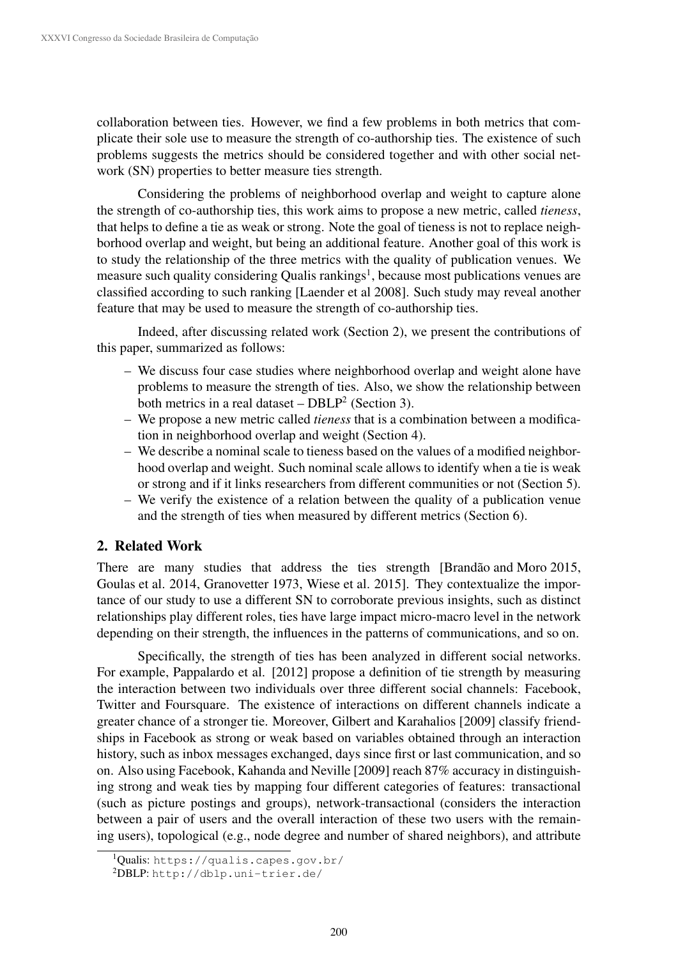collaboration between ties. However, we find a few problems in both metrics that complicate their sole use to measure the strength of co-authorship ties. The existence of such problems suggests the metrics should be considered together and with other social network (SN) properties to better measure ties strength.

Considering the problems of neighborhood overlap and weight to capture alone the strength of co-authorship ties, this work aims to propose a new metric, called *tieness*, that helps to define a tie as weak or strong. Note the goal of tieness is not to replace neighborhood overlap and weight, but being an additional feature. Another goal of this work is to study the relationship of the three metrics with the quality of publication venues. We measure such quality considering Qualis rankings<sup>1</sup>, because most publications venues are classified according to such ranking [Laender et al 2008]. Such study may reveal another feature that may be used to measure the strength of co-authorship ties.

Indeed, after discussing related work (Section 2), we present the contributions of this paper, summarized as follows:

- We discuss four case studies where neighborhood overlap and weight alone have problems to measure the strength of ties. Also, we show the relationship between both metrics in a real dataset –  $DBLP<sup>2</sup>$  (Section 3).
- We propose a new metric called *tieness* that is a combination between a modification in neighborhood overlap and weight (Section 4).
- We describe a nominal scale to tieness based on the values of a modified neighborhood overlap and weight. Such nominal scale allows to identify when a tie is weak or strong and if it links researchers from different communities or not (Section 5).
- We verify the existence of a relation between the quality of a publication venue and the strength of ties when measured by different metrics (Section 6).

# 2. Related Work

There are many studies that address the ties strength [Brandão and Moro 2015, Goulas et al. 2014, Granovetter 1973, Wiese et al. 2015]. They contextualize the importance of our study to use a different SN to corroborate previous insights, such as distinct relationships play different roles, ties have large impact micro-macro level in the network depending on their strength, the influences in the patterns of communications, and so on.

Specifically, the strength of ties has been analyzed in different social networks. For example, Pappalardo et al. [2012] propose a definition of tie strength by measuring the interaction between two individuals over three different social channels: Facebook, Twitter and Foursquare. The existence of interactions on different channels indicate a greater chance of a stronger tie. Moreover, Gilbert and Karahalios [2009] classify friendships in Facebook as strong or weak based on variables obtained through an interaction history, such as inbox messages exchanged, days since first or last communication, and so on. Also using Facebook, Kahanda and Neville [2009] reach 87% accuracy in distinguishing strong and weak ties by mapping four different categories of features: transactional (such as picture postings and groups), network-transactional (considers the interaction between a pair of users and the overall interaction of these two users with the remaining users), topological (e.g., node degree and number of shared neighbors), and attribute

<sup>&</sup>lt;sup>1</sup>Qualis: https://qualis.capes.gov.br/

<sup>2</sup>DBLP: http://dblp.uni-trier.de/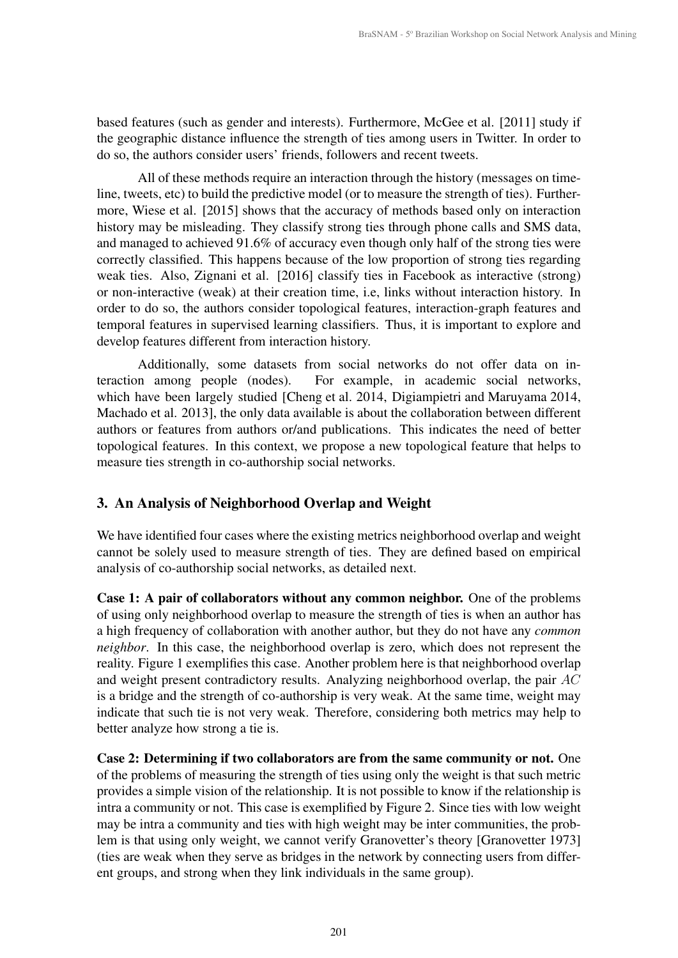based features (such as gender and interests). Furthermore, McGee et al. [2011] study if the geographic distance influence the strength of ties among users in Twitter. In order to do so, the authors consider users' friends, followers and recent tweets.

All of these methods require an interaction through the history (messages on timeline, tweets, etc) to build the predictive model (or to measure the strength of ties). Furthermore, Wiese et al. [2015] shows that the accuracy of methods based only on interaction history may be misleading. They classify strong ties through phone calls and SMS data, and managed to achieved 91.6% of accuracy even though only half of the strong ties were correctly classified. This happens because of the low proportion of strong ties regarding weak ties. Also, Zignani et al. [2016] classify ties in Facebook as interactive (strong) or non-interactive (weak) at their creation time, i.e, links without interaction history. In order to do so, the authors consider topological features, interaction-graph features and temporal features in supervised learning classifiers. Thus, it is important to explore and develop features different from interaction history.

Additionally, some datasets from social networks do not offer data on interaction among people (nodes). For example, in academic social networks, which have been largely studied [Cheng et al. 2014, Digiampietri and Maruyama 2014, Machado et al. 2013], the only data available is about the collaboration between different authors or features from authors or/and publications. This indicates the need of better topological features. In this context, we propose a new topological feature that helps to measure ties strength in co-authorship social networks.

# 3. An Analysis of Neighborhood Overlap and Weight

We have identified four cases where the existing metrics neighborhood overlap and weight cannot be solely used to measure strength of ties. They are defined based on empirical analysis of co-authorship social networks, as detailed next.

Case 1: A pair of collaborators without any common neighbor. One of the problems of using only neighborhood overlap to measure the strength of ties is when an author has a high frequency of collaboration with another author, but they do not have any *common neighbor*. In this case, the neighborhood overlap is zero, which does not represent the reality. Figure 1 exemplifies this case. Another problem here is that neighborhood overlap and weight present contradictory results. Analyzing neighborhood overlap, the pair  $AC$ is a bridge and the strength of co-authorship is very weak. At the same time, weight may indicate that such tie is not very weak. Therefore, considering both metrics may help to better analyze how strong a tie is.

Case 2: Determining if two collaborators are from the same community or not. One of the problems of measuring the strength of ties using only the weight is that such metric provides a simple vision of the relationship. It is not possible to know if the relationship is intra a community or not. This case is exemplified by Figure 2. Since ties with low weight may be intra a community and ties with high weight may be inter communities, the problem is that using only weight, we cannot verify Granovetter's theory [Granovetter 1973] (ties are weak when they serve as bridges in the network by connecting users from different groups, and strong when they link individuals in the same group).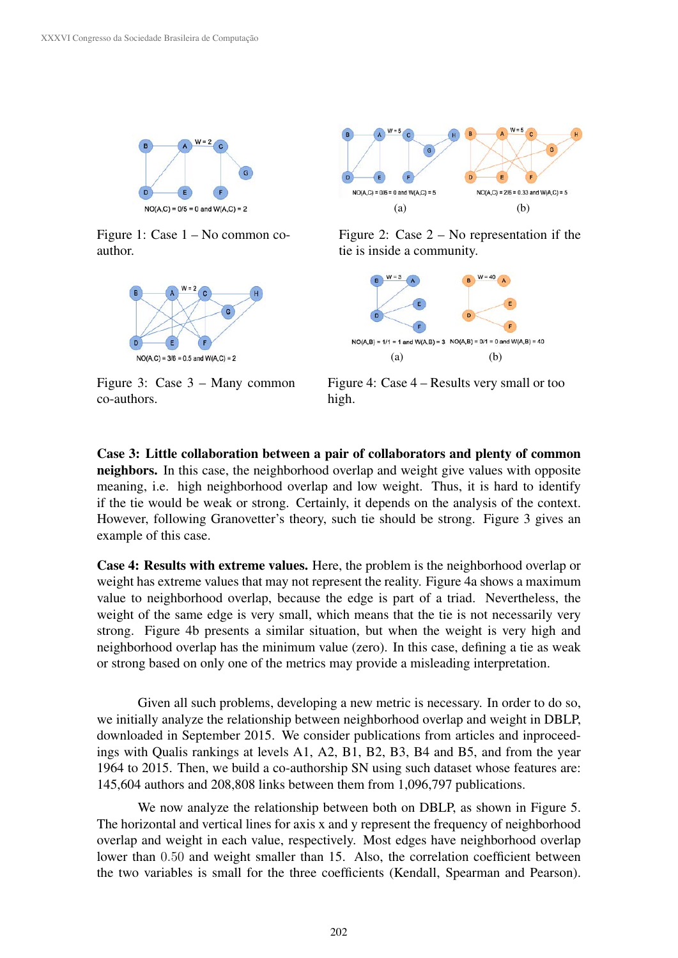

Figure 1: Case 1 – No common coauthor.



Figure 3: Case 3 – Many common co-authors.



Figure 2: Case 2 – No representation if the tie is inside a community.



Figure 4: Case 4 – Results very small or too high.

Case 3: Little collaboration between a pair of collaborators and plenty of common neighbors. In this case, the neighborhood overlap and weight give values with opposite meaning, i.e. high neighborhood overlap and low weight. Thus, it is hard to identify if the tie would be weak or strong. Certainly, it depends on the analysis of the context. However, following Granovetter's theory, such tie should be strong. Figure 3 gives an example of this case.

Case 4: Results with extreme values. Here, the problem is the neighborhood overlap or weight has extreme values that may not represent the reality. Figure 4a shows a maximum value to neighborhood overlap, because the edge is part of a triad. Nevertheless, the weight of the same edge is very small, which means that the tie is not necessarily very strong. Figure 4b presents a similar situation, but when the weight is very high and neighborhood overlap has the minimum value (zero). In this case, defining a tie as weak or strong based on only one of the metrics may provide a misleading interpretation.

Given all such problems, developing a new metric is necessary. In order to do so, we initially analyze the relationship between neighborhood overlap and weight in DBLP, downloaded in September 2015. We consider publications from articles and inproceedings with Qualis rankings at levels A1, A2, B1, B2, B3, B4 and B5, and from the year 1964 to 2015. Then, we build a co-authorship SN using such dataset whose features are: 145,604 authors and 208,808 links between them from 1,096,797 publications.

We now analyze the relationship between both on DBLP, as shown in Figure 5. The horizontal and vertical lines for axis x and y represent the frequency of neighborhood overlap and weight in each value, respectively. Most edges have neighborhood overlap lower than 0.50 and weight smaller than 15. Also, the correlation coefficient between the two variables is small for the three coefficients (Kendall, Spearman and Pearson).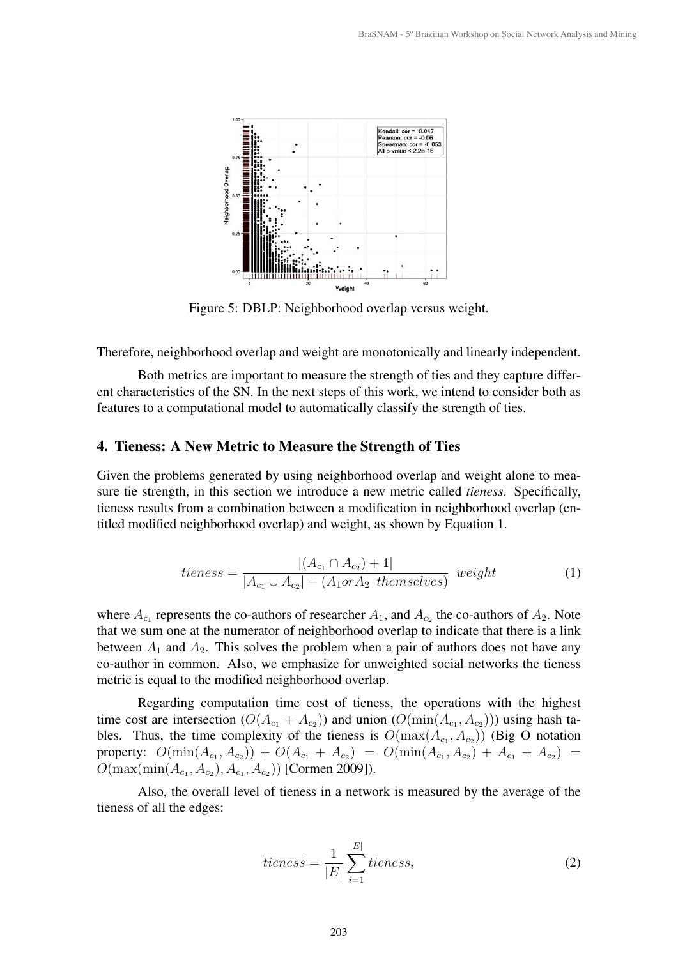

Figure 5: DBLP: Neighborhood overlap versus weight.

Therefore, neighborhood overlap and weight are monotonically and linearly independent.

Both metrics are important to measure the strength of ties and they capture different characteristics of the SN. In the next steps of this work, we intend to consider both as features to a computational model to automatically classify the strength of ties.

#### 4. Tieness: A New Metric to Measure the Strength of Ties

Given the problems generated by using neighborhood overlap and weight alone to measure tie strength, in this section we introduce a new metric called *tieness*. Specifically, tieness results from a combination between a modification in neighborhood overlap (entitled modified neighborhood overlap) and weight, as shown by Equation 1.

$$
tieness = \frac{|(A_{c_1} \cap A_{c_2}) + 1|}{|A_{c_1} \cup A_{c_2}| - (A_1 \text{ or } A_2 \text{ themselves})} \text{ weight}
$$
(1)

where  $A_{c_1}$  represents the co-authors of researcher  $A_1$ , and  $A_{c_2}$  the co-authors of  $A_2$ . Note that we sum one at the numerator of neighborhood overlap to indicate that there is a link between  $A_1$  and  $A_2$ . This solves the problem when a pair of authors does not have any co-author in common. Also, we emphasize for unweighted social networks the tieness metric is equal to the modified neighborhood overlap.

Regarding computation time cost of tieness, the operations with the highest time cost are intersection  $(O(A_{c_1} + A_{c_2}))$  and union  $(O(\min(A_{c_1}, A_{c_2})))$  using hash tables. Thus, the time complexity of the tieness is  $O(\max(A_{c_1}, A_{c_2}))$  (Big O notation property:  $O(\min(A_{c_1}, A_{c_2})) + O(A_{c_1} + A_{c_2}) = O(\min(A_{c_1}, A_{c_2}) + A_{c_1} + A_{c_2}) =$  $O(\max(\min(A_{c_1}, A_{c_2}), A_{c_1}, A_{c_2}))$  [Cormen 2009]).

Also, the overall level of tieness in a network is measured by the average of the tieness of all the edges:

$$
\overline{tieness} = \frac{1}{|E|} \sum_{i=1}^{|E|} tieness_i \tag{2}
$$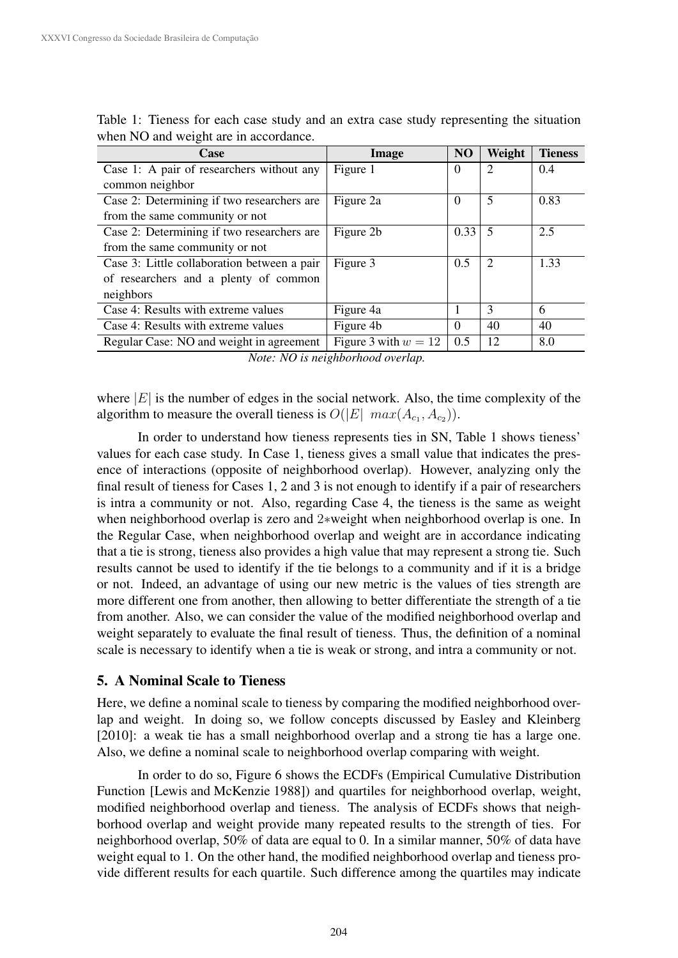| Case                                        | Image                  | N <sub>O</sub> | Weight                      | <b>Tieness</b> |  |
|---------------------------------------------|------------------------|----------------|-----------------------------|----------------|--|
| Case 1: A pair of researchers without any   | Figure 1               | $\Omega$       | $\mathcal{D}_{\cdot}$       | 0.4            |  |
| common neighbor                             |                        |                |                             |                |  |
| Case 2: Determining if two researchers are  | Figure 2a              | $\Omega$       | 5                           | 0.83           |  |
| from the same community or not              |                        |                |                             |                |  |
| Case 2: Determining if two researchers are  | Figure 2b              | 0.33           | 5                           | 2.5            |  |
| from the same community or not              |                        |                |                             |                |  |
| Case 3: Little collaboration between a pair | Figure 3               | 0.5            | $\mathcal{D}_{\mathcal{L}}$ | 1.33           |  |
| of researchers and a plenty of common       |                        |                |                             |                |  |
| neighbors                                   |                        |                |                             |                |  |
| Case 4: Results with extreme values         | Figure 4a              |                | 3                           | 6              |  |
| Case 4: Results with extreme values         | Figure 4b              | $\Omega$       | 40                          | 40             |  |
| Regular Case: NO and weight in agreement    | Figure 3 with $w = 12$ | 0.5            | 12                          | 8.0            |  |

Table 1: Tieness for each case study and an extra case study representing the situation when NO and weight are in accordance.

*Note: NO is neighborhood overlap.*

where  $|E|$  is the number of edges in the social network. Also, the time complexity of the algorithm to measure the overall tieness is  $O(|E|$   $max(A_{c_1}, A_{c_2}))$ .

In order to understand how tieness represents ties in SN, Table 1 shows tieness' values for each case study. In Case 1, tieness gives a small value that indicates the presence of interactions (opposite of neighborhood overlap). However, analyzing only the final result of tieness for Cases 1, 2 and 3 is not enough to identify if a pair of researchers is intra a community or not. Also, regarding Case 4, the tieness is the same as weight when neighborhood overlap is zero and 2∗weight when neighborhood overlap is one. In the Regular Case, when neighborhood overlap and weight are in accordance indicating that a tie is strong, tieness also provides a high value that may represent a strong tie. Such results cannot be used to identify if the tie belongs to a community and if it is a bridge or not. Indeed, an advantage of using our new metric is the values of ties strength are more different one from another, then allowing to better differentiate the strength of a tie from another. Also, we can consider the value of the modified neighborhood overlap and weight separately to evaluate the final result of tieness. Thus, the definition of a nominal scale is necessary to identify when a tie is weak or strong, and intra a community or not.

# 5. A Nominal Scale to Tieness

Here, we define a nominal scale to tieness by comparing the modified neighborhood overlap and weight. In doing so, we follow concepts discussed by Easley and Kleinberg [2010]: a weak tie has a small neighborhood overlap and a strong tie has a large one. Also, we define a nominal scale to neighborhood overlap comparing with weight.

In order to do so, Figure 6 shows the ECDFs (Empirical Cumulative Distribution Function [Lewis and McKenzie 1988]) and quartiles for neighborhood overlap, weight, modified neighborhood overlap and tieness. The analysis of ECDFs shows that neighborhood overlap and weight provide many repeated results to the strength of ties. For neighborhood overlap, 50% of data are equal to 0. In a similar manner, 50% of data have weight equal to 1. On the other hand, the modified neighborhood overlap and tieness provide different results for each quartile. Such difference among the quartiles may indicate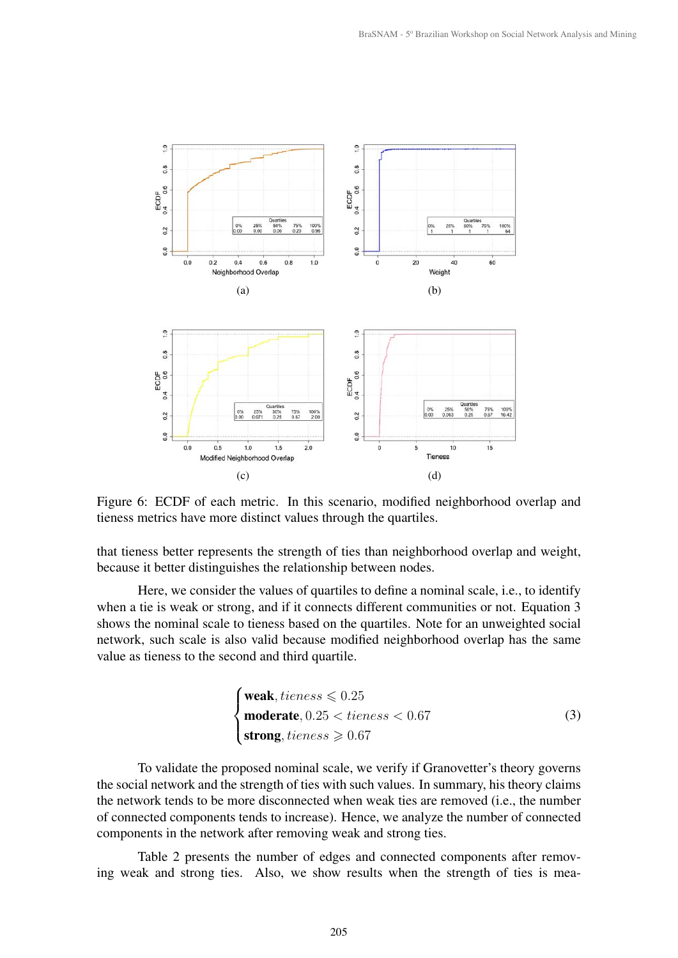

Figure 6: ECDF of each metric. In this scenario, modified neighborhood overlap and tieness metrics have more distinct values through the quartiles.

that tieness better represents the strength of ties than neighborhood overlap and weight, because it better distinguishes the relationship between nodes.

Here, we consider the values of quartiles to define a nominal scale, i.e., to identify when a tie is weak or strong, and if it connects different communities or not. Equation 3 shows the nominal scale to tieness based on the quartiles. Note for an unweighted social network, such scale is also valid because modified neighborhood overlap has the same value as tieness to the second and third quartile.

$$
\begin{cases}\n\text{weak}, \text{tiness} \leq 0.25 \\
\text{moderate}, 0.25 < \text{tieness} < 0.67 \\
\text{strong}, \text{tieness} \geq 0.67\n\end{cases} \tag{3}
$$

To validate the proposed nominal scale, we verify if Granovetter's theory governs the social network and the strength of ties with such values. In summary, his theory claims the network tends to be more disconnected when weak ties are removed (i.e., the number of connected components tends to increase). Hence, we analyze the number of connected components in the network after removing weak and strong ties.

Table 2 presents the number of edges and connected components after removing weak and strong ties. Also, we show results when the strength of ties is mea-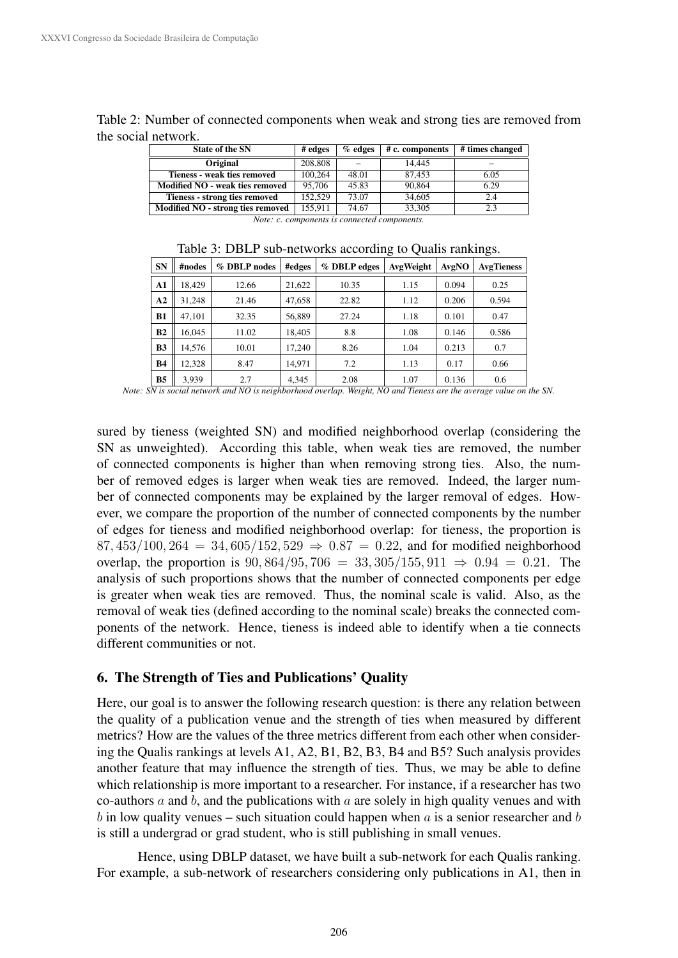| <b>State of the SN</b>            | # edges | $%$ edges | # c. components | # times changed |
|-----------------------------------|---------|-----------|-----------------|-----------------|
| Original                          | 208,808 |           | 14.445          | -               |
| Tieness - weak ties removed       | 100,264 | 48.01     | 87.453          | 6.05            |
| Modified NO - weak ties removed   | 95,706  | 45.83     | 90,864          | 6.29            |
| Tieness - strong ties removed     | 152.529 | 73.07     | 34,605          | 2.4             |
| Modified NO - strong ties removed | 155.911 | 74.67     | 33.305          | 2.3             |

Table 2: Number of connected components when weak and strong ties are removed from the social network.

*Note: c. components is connected components.*

| <b>SN</b>      | #nodes | % DBLP nodes | #edges | % DBLP edges | AvgWeight | AvgNO | <b>AvgTieness</b> |
|----------------|--------|--------------|--------|--------------|-----------|-------|-------------------|
| A1             | 18.429 | 12.66        | 21,622 | 10.35        | 1.15      | 0.094 | 0.25              |
| A <sub>2</sub> | 31.248 | 21.46        | 47,658 | 22.82        | 1.12      | 0.206 | 0.594             |
| <b>B1</b>      | 47.101 | 32.35        | 56,889 | 27.24        | 1.18      | 0.101 | 0.47              |
| B <sub>2</sub> | 16.045 | 11.02        | 18.405 | 8.8          | 1.08      | 0.146 | 0.586             |
| B <sub>3</sub> | 14.576 | 10.01        | 17,240 | 8.26         | 1.04      | 0.213 | 0.7               |
| <b>B4</b>      | 12.328 | 8.47         | 14,971 | 7.2          | 1.13      | 0.17  | 0.66              |
| <b>B5</b>      | 3,939  | 2.7          | 4,345  | 2.08         | 1.07      | 0.136 | 0.6               |

Table 3: DBLP sub-networks according to Qualis rankings.

*Note: SN is social network and NO is neighborhood overlap. Weight, NO and Tieness are the average value on the SN.*

sured by tieness (weighted SN) and modified neighborhood overlap (considering the SN as unweighted). According this table, when weak ties are removed, the number of connected components is higher than when removing strong ties. Also, the number of removed edges is larger when weak ties are removed. Indeed, the larger number of connected components may be explained by the larger removal of edges. However, we compare the proportion of the number of connected components by the number of edges for tieness and modified neighborhood overlap: for tieness, the proportion is 87, 453/100, 264 = 34, 605/152, 529  $\Rightarrow$  0.87 = 0.22, and for modified neighborhood overlap, the proportion is  $90,864/95,706 = 33,305/155,911 \Rightarrow 0.94 = 0.21$ . The analysis of such proportions shows that the number of connected components per edge is greater when weak ties are removed. Thus, the nominal scale is valid. Also, as the removal of weak ties (defined according to the nominal scale) breaks the connected components of the network. Hence, tieness is indeed able to identify when a tie connects different communities or not.

## 6. The Strength of Ties and Publications' Quality

Here, our goal is to answer the following research question: is there any relation between the quality of a publication venue and the strength of ties when measured by different metrics? How are the values of the three metrics different from each other when considering the Qualis rankings at levels A1, A2, B1, B2, B3, B4 and B5? Such analysis provides another feature that may influence the strength of ties. Thus, we may be able to define which relationship is more important to a researcher. For instance, if a researcher has two co-authors  $a$  and  $b$ , and the publications with  $a$  are solely in high quality venues and with b in low quality venues – such situation could happen when a is a senior researcher and b is still a undergrad or grad student, who is still publishing in small venues.

Hence, using DBLP dataset, we have built a sub-network for each Qualis ranking. For example, a sub-network of researchers considering only publications in A1, then in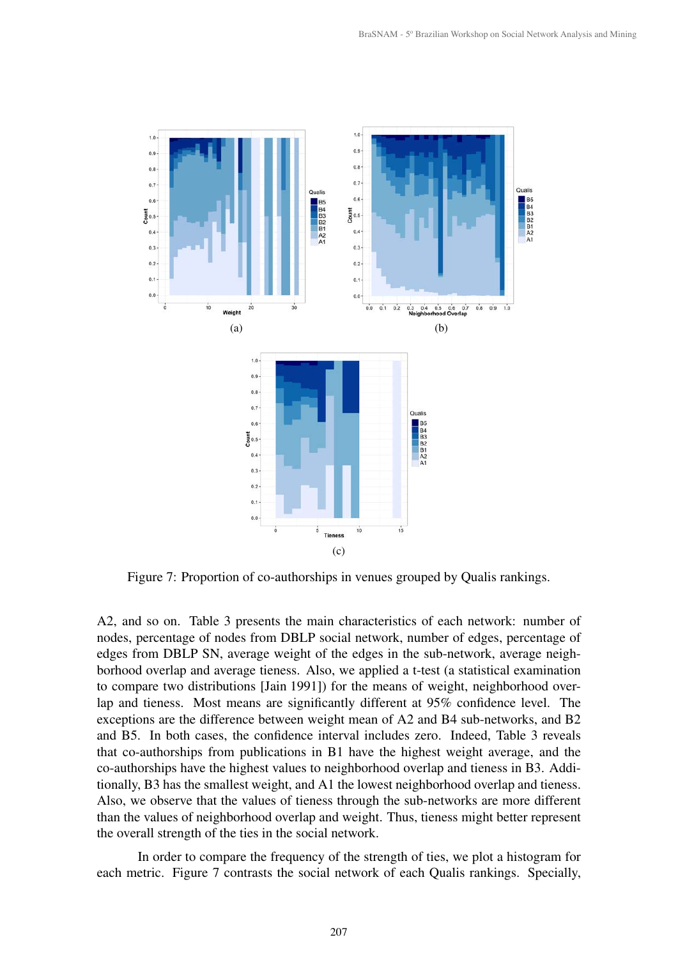

Figure 7: Proportion of co-authorships in venues grouped by Qualis rankings.

A2, and so on. Table 3 presents the main characteristics of each network: number of nodes, percentage of nodes from DBLP social network, number of edges, percentage of edges from DBLP SN, average weight of the edges in the sub-network, average neighborhood overlap and average tieness. Also, we applied a t-test (a statistical examination to compare two distributions [Jain 1991]) for the means of weight, neighborhood overlap and tieness. Most means are significantly different at 95% confidence level. The exceptions are the difference between weight mean of A2 and B4 sub-networks, and B2 and B5. In both cases, the confidence interval includes zero. Indeed, Table 3 reveals that co-authorships from publications in B1 have the highest weight average, and the co-authorships have the highest values to neighborhood overlap and tieness in B3. Additionally, B3 has the smallest weight, and A1 the lowest neighborhood overlap and tieness. Also, we observe that the values of tieness through the sub-networks are more different than the values of neighborhood overlap and weight. Thus, tieness might better represent the overall strength of the ties in the social network.

In order to compare the frequency of the strength of ties, we plot a histogram for each metric. Figure 7 contrasts the social network of each Qualis rankings. Specially,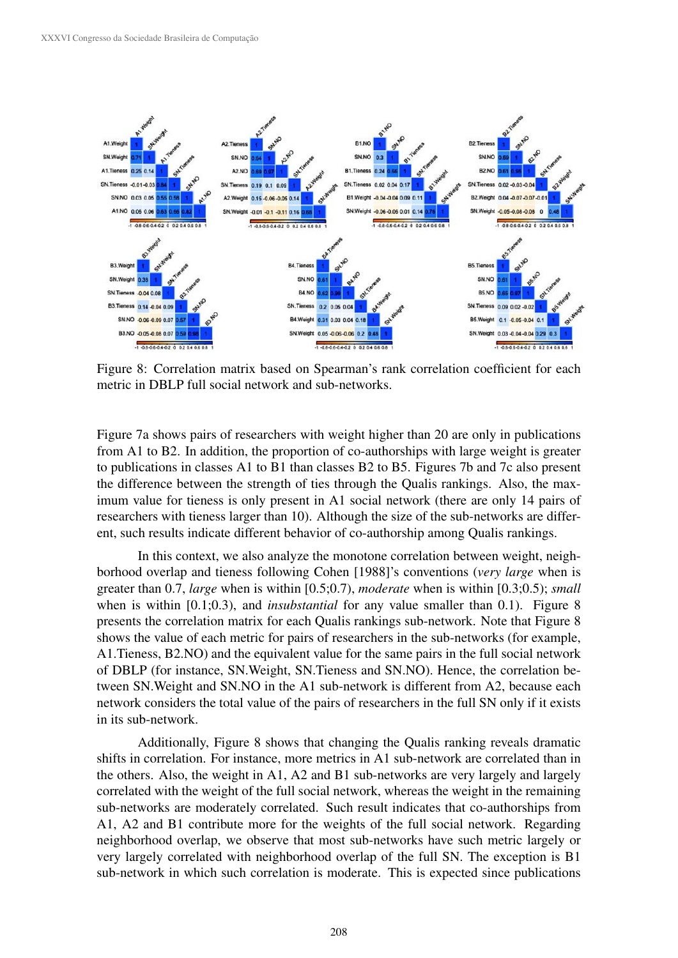

Figure 8: Correlation matrix based on Spearman's rank correlation coefficient for each metric in DBLP full social network and sub-networks.

Figure 7a shows pairs of researchers with weight higher than 20 are only in publications from A1 to B2. In addition, the proportion of co-authorships with large weight is greater to publications in classes A1 to B1 than classes B2 to B5. Figures 7b and 7c also present the difference between the strength of ties through the Qualis rankings. Also, the maximum value for tieness is only present in A1 social network (there are only 14 pairs of researchers with tieness larger than 10). Although the size of the sub-networks are different, such results indicate different behavior of co-authorship among Qualis rankings.

In this context, we also analyze the monotone correlation between weight, neighborhood overlap and tieness following Cohen [1988]'s conventions (*very large* when is greater than 0.7, *large* when is within [0.5;0.7), *moderate* when is within [0.3;0.5); *small* when is within [0.1;0.3), and *insubstantial* for any value smaller than 0.1). Figure 8 presents the correlation matrix for each Qualis rankings sub-network. Note that Figure 8 shows the value of each metric for pairs of researchers in the sub-networks (for example, A1.Tieness, B2.NO) and the equivalent value for the same pairs in the full social network of DBLP (for instance, SN.Weight, SN.Tieness and SN.NO). Hence, the correlation between SN.Weight and SN.NO in the A1 sub-network is different from A2, because each network considers the total value of the pairs of researchers in the full SN only if it exists in its sub-network.

Additionally, Figure 8 shows that changing the Qualis ranking reveals dramatic shifts in correlation. For instance, more metrics in A1 sub-network are correlated than in the others. Also, the weight in A1, A2 and B1 sub-networks are very largely and largely correlated with the weight of the full social network, whereas the weight in the remaining sub-networks are moderately correlated. Such result indicates that co-authorships from A1, A2 and B1 contribute more for the weights of the full social network. Regarding neighborhood overlap, we observe that most sub-networks have such metric largely or very largely correlated with neighborhood overlap of the full SN. The exception is B1 sub-network in which such correlation is moderate. This is expected since publications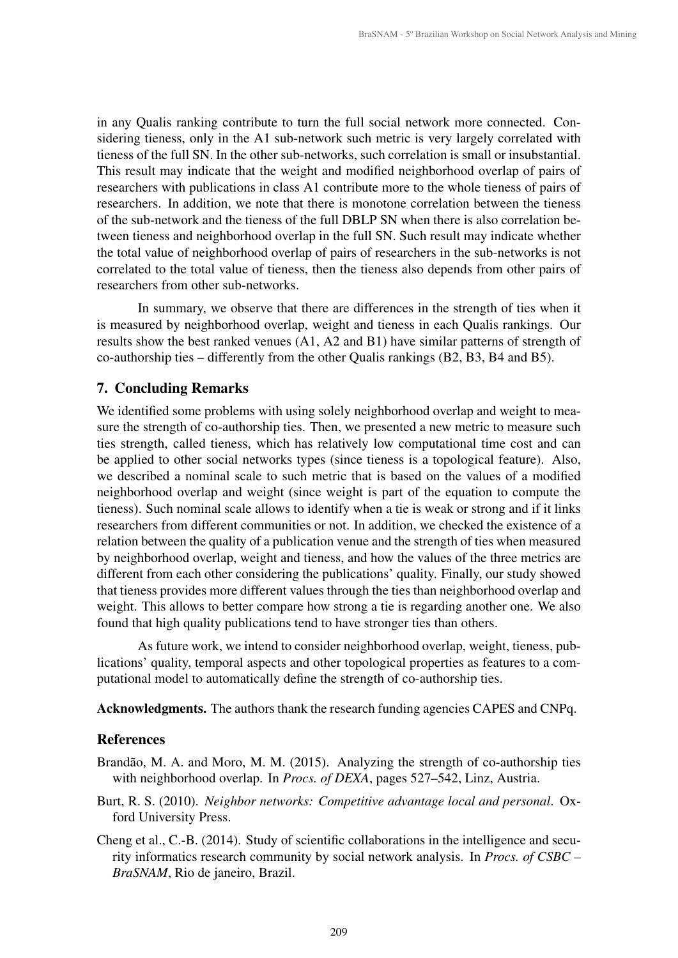in any Qualis ranking contribute to turn the full social network more connected. Considering tieness, only in the A1 sub-network such metric is very largely correlated with tieness of the full SN. In the other sub-networks, such correlation is small or insubstantial. This result may indicate that the weight and modified neighborhood overlap of pairs of researchers with publications in class A1 contribute more to the whole tieness of pairs of researchers. In addition, we note that there is monotone correlation between the tieness of the sub-network and the tieness of the full DBLP SN when there is also correlation between tieness and neighborhood overlap in the full SN. Such result may indicate whether the total value of neighborhood overlap of pairs of researchers in the sub-networks is not correlated to the total value of tieness, then the tieness also depends from other pairs of researchers from other sub-networks.

In summary, we observe that there are differences in the strength of ties when it is measured by neighborhood overlap, weight and tieness in each Qualis rankings. Our results show the best ranked venues (A1, A2 and B1) have similar patterns of strength of co-authorship ties – differently from the other Qualis rankings (B2, B3, B4 and B5).

### 7. Concluding Remarks

We identified some problems with using solely neighborhood overlap and weight to measure the strength of co-authorship ties. Then, we presented a new metric to measure such ties strength, called tieness, which has relatively low computational time cost and can be applied to other social networks types (since tieness is a topological feature). Also, we described a nominal scale to such metric that is based on the values of a modified neighborhood overlap and weight (since weight is part of the equation to compute the tieness). Such nominal scale allows to identify when a tie is weak or strong and if it links researchers from different communities or not. In addition, we checked the existence of a relation between the quality of a publication venue and the strength of ties when measured by neighborhood overlap, weight and tieness, and how the values of the three metrics are different from each other considering the publications' quality. Finally, our study showed that tieness provides more different values through the ties than neighborhood overlap and weight. This allows to better compare how strong a tie is regarding another one. We also found that high quality publications tend to have stronger ties than others.

As future work, we intend to consider neighborhood overlap, weight, tieness, publications' quality, temporal aspects and other topological properties as features to a computational model to automatically define the strength of co-authorship ties.

Acknowledgments. The authors thank the research funding agencies CAPES and CNPq.

#### References

- Brandão, M. A. and Moro, M. M. (2015). Analyzing the strength of co-authorship ties with neighborhood overlap. In *Procs. of DEXA*, pages 527–542, Linz, Austria.
- Burt, R. S. (2010). *Neighbor networks: Competitive advantage local and personal*. Oxford University Press.
- Cheng et al., C.-B. (2014). Study of scientific collaborations in the intelligence and security informatics research community by social network analysis. In *Procs. of CSBC – BraSNAM*, Rio de janeiro, Brazil.